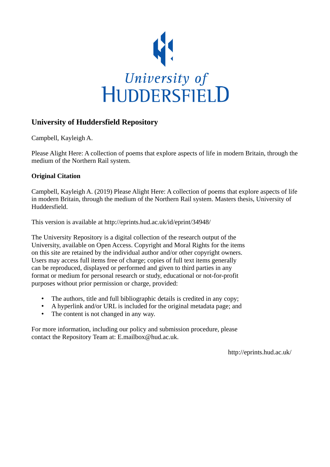

# **University of Huddersfield Repository**

Campbell, Kayleigh A.

Please Alight Here: A collection of poems that explore aspects of life in modern Britain, through the medium of the Northern Rail system.

### **Original Citation**

Campbell, Kayleigh A. (2019) Please Alight Here: A collection of poems that explore aspects of life in modern Britain, through the medium of the Northern Rail system. Masters thesis, University of Huddersfield.

This version is available at http://eprints.hud.ac.uk/id/eprint/34948/

The University Repository is a digital collection of the research output of the University, available on Open Access. Copyright and Moral Rights for the items on this site are retained by the individual author and/or other copyright owners. Users may access full items free of charge; copies of full text items generally can be reproduced, displayed or performed and given to third parties in any format or medium for personal research or study, educational or not-for-profit purposes without prior permission or charge, provided:

- The authors, title and full bibliographic details is credited in any copy;
- A hyperlink and/or URL is included for the original metadata page; and
- The content is not changed in any way.

For more information, including our policy and submission procedure, please contact the Repository Team at: E.mailbox@hud.ac.uk.

http://eprints.hud.ac.uk/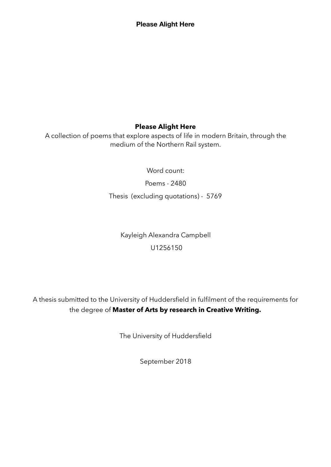# **Please Alight Here**

A collection of poems that explore aspects of life in modern Britain, through the medium of the Northern Rail system.

Word count:

Poems - 2480

Thesis (excluding quotations) - 5769

Kayleigh Alexandra Campbell U1256150

A thesis submitted to the University of Huddersfield in fulfilment of the requirements for the degree of **Master of Arts by research in Creative Writing.** 

The University of Huddersfield

September 2018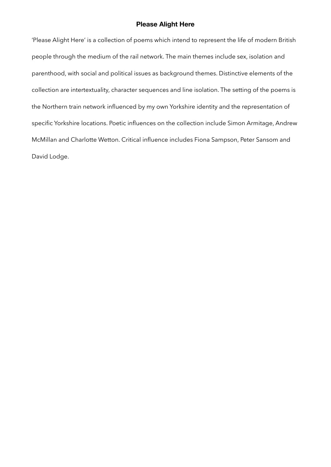'Please Alight Here' is a collection of poems which intend to represent the life of modern British people through the medium of the rail network. The main themes include sex, isolation and parenthood, with social and political issues as background themes. Distinctive elements of the collection are intertextuality, character sequences and line isolation. The setting of the poems is the Northern train network influenced by my own Yorkshire identity and the representation of specific Yorkshire locations. Poetic influences on the collection include Simon Armitage, Andrew McMillan and Charlotte Wetton. Critical influence includes Fiona Sampson, Peter Sansom and David Lodge.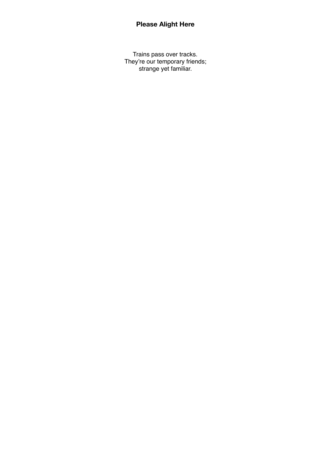Trains pass over tracks. They're our temporary friends; strange yet familiar.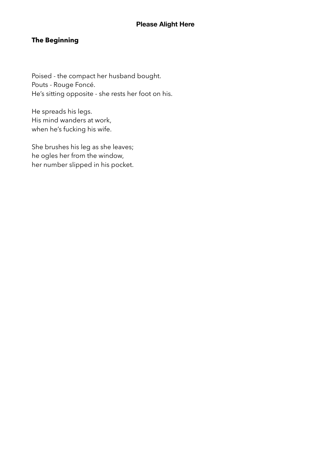# **The Beginning**

Poised - the compact her husband bought. Pouts - Rouge Foncé. He's sitting opposite - she rests her foot on his.

He spreads his legs. His mind wanders at work, when he's fucking his wife.

She brushes his leg as she leaves; he ogles her from the window, her number slipped in his pocket.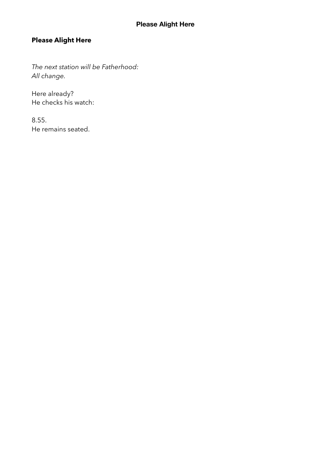*The next station will be Fatherhood: All change.* 

Here already? He checks his watch:

8.55. He remains seated.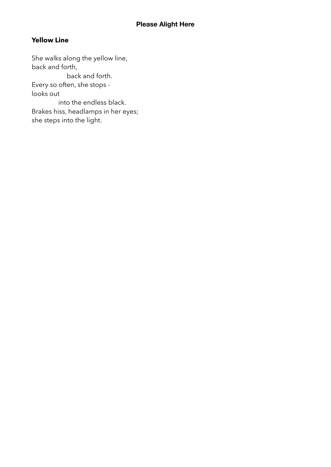# **Yellow Line**

She walks along the yellow line, back and forth, back and forth. Every so often, she stops looks out into the endless black. Brakes hiss, headlamps in her eyes; she steps into the light.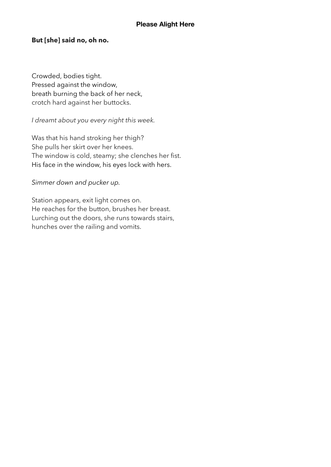## **But [she] said no, oh no.**

Crowded, bodies tight. Pressed against the window, breath burning the back of her neck, crotch hard against her buttocks.

# *I dreamt about you every night this week.*

Was that his hand stroking her thigh? She pulls her skirt over her knees. The window is cold, steamy; she clenches her fist. His face in the window, his eyes lock with hers.

## *Simmer down and pucker up.*

Station appears, exit light comes on. He reaches for the button, brushes her breast. Lurching out the doors, she runs towards stairs, hunches over the railing and vomits.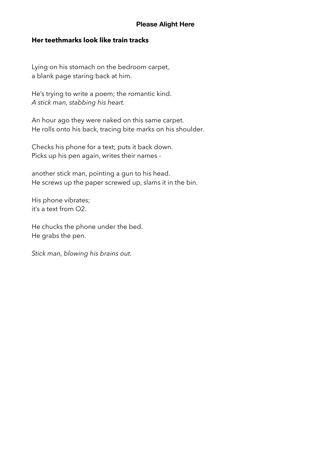## **Her teethmarks look like train tracks**

Lying on his stomach on the bedroom carpet, a blank page staring back at him.

He's trying to write a poem; the romantic kind. *A stick man, stabbing his heart.* 

An hour ago they were naked on this same carpet. He rolls onto his back, tracing bite marks on his shoulder.

Checks his phone for a text; puts it back down. Picks up his pen again, writes their names -

another stick man, pointing a gun to his head. He screws up the paper screwed up, slams it in the bin.

His phone vibrates; it's a text from O2.

He chucks the phone under the bed. He grabs the pen.

*Stick man, blowing his brains out.*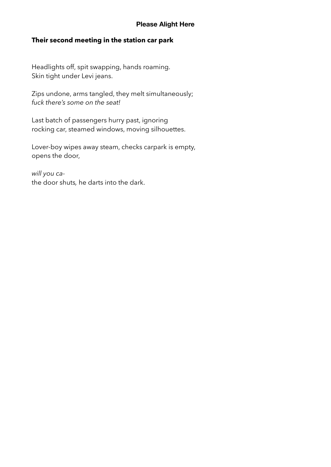# **Their second meeting in the station car park**

Headlights off, spit swapping, hands roaming. Skin tight under Levi jeans.

Zips undone, arms tangled, they melt simultaneously; *fuck there's some on the seat!* 

Last batch of passengers hurry past, ignoring rocking car, steamed windows, moving silhouettes.

Lover-boy wipes away steam, checks carpark is empty, opens the door,

*will you ca*the door shuts*,* he darts into the dark.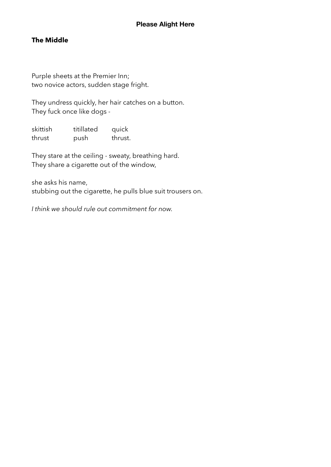# **The Middle**

Purple sheets at the Premier Inn; two novice actors, sudden stage fright.

They undress quickly, her hair catches on a button. They fuck once like dogs -

skittish titillated quick thrust push thrust.

They stare at the ceiling - sweaty, breathing hard. They share a cigarette out of the window,

she asks his name, stubbing out the cigarette, he pulls blue suit trousers on.

*I think we should rule out commitment for now.*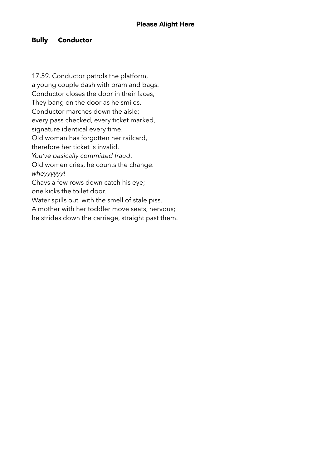# **Bully Conductor**

17.59. Conductor patrols the platform, a young couple dash with pram and bags. Conductor closes the door in their faces, They bang on the door as he smiles. Conductor marches down the aisle; every pass checked, every ticket marked, signature identical every time. Old woman has forgotten her railcard, therefore her ticket is invalid. *You've basically committed fraud*. Old women cries, he counts the change. *wheyyyyyy!* Chavs a few rows down catch his eye; one kicks the toilet door. Water spills out, with the smell of stale piss. A mother with her toddler move seats, nervous; he strides down the carriage, straight past them.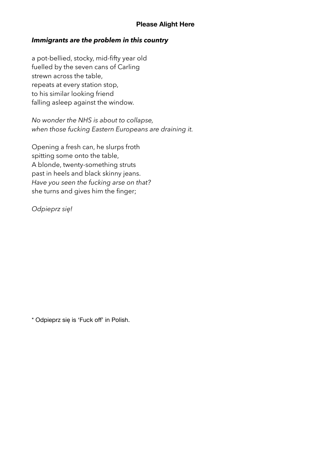### *Immigrants are the problem in this country*

a pot-bellied, stocky, mid-fifty year old fuelled by the seven cans of Carling strewn across the table, repeats at every station stop, to his similar looking friend falling asleep against the window.

*No wonder the NHS is about to collapse, when those fucking Eastern Europeans are draining it.* 

Opening a fresh can, he slurps froth spitting some onto the table, A blonde, twenty-something struts past in heels and black skinny jeans. *Have you seen the fucking arse on that?*  she turns and gives him the finger;

*Odpieprz się!* 

\* Odpieprz się is 'Fuck off' in Polish.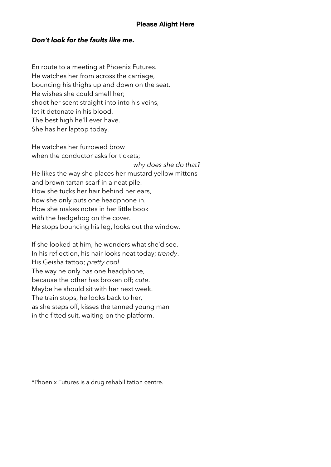## *Don't look for the faults like me.*

En route to a meeting at Phoenix Futures. He watches her from across the carriage, bouncing his thighs up and down on the seat. He wishes she could smell her; shoot her scent straight into into his veins, let it detonate in his blood. The best high he'll ever have. She has her laptop today.

He watches her furrowed brow when the conductor asks for tickets: *why does she do that?* He likes the way she places her mustard yellow mittens and brown tartan scarf in a neat pile. How she tucks her hair behind her ears, how she only puts one headphone in. How she makes notes in her little book with the hedgehog on the cover. He stops bouncing his leg, looks out the window.

If she looked at him, he wonders what she'd see. In his reflection, his hair looks neat today; *trendy*. His Geisha tattoo; *pretty cool*. The way he only has one headphone, because the other has broken off; *cute*. Maybe he should sit with her next week. The train stops, he looks back to her, as she steps off, kisses the tanned young man in the fitted suit, waiting on the platform.

\*Phoenix Futures is a drug rehabilitation centre.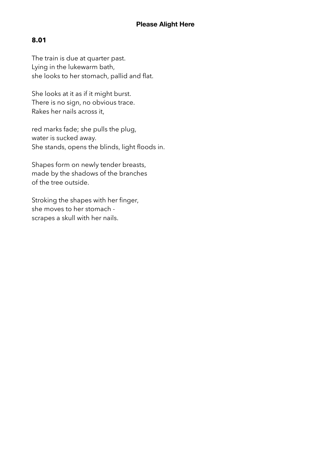# **8.01**

The train is due at quarter past. Lying in the lukewarm bath, she looks to her stomach, pallid and flat.

She looks at it as if it might burst. There is no sign, no obvious trace. Rakes her nails across it,

red marks fade; she pulls the plug, water is sucked away. She stands, opens the blinds, light floods in.

Shapes form on newly tender breasts, made by the shadows of the branches of the tree outside.

Stroking the shapes with her finger, she moves to her stomach scrapes a skull with her nails.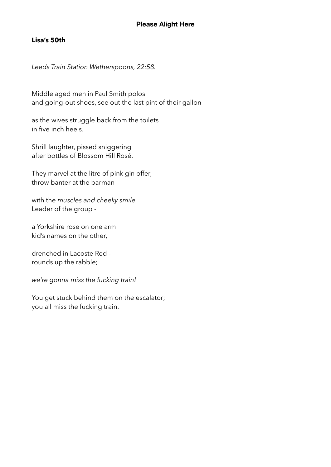# **Lisa's 50th**

*Leeds Train Station Wetherspoons, 22:58.* 

Middle aged men in Paul Smith polos and going-out shoes, see out the last pint of their gallon

as the wives struggle back from the toilets in five inch heels.

Shrill laughter, pissed sniggering after bottles of Blossom Hill Rosé.

They marvel at the litre of pink gin offer, throw banter at the barman

with the *muscles and cheeky smile.*  Leader of the group -

a Yorkshire rose on one arm kid's names on the other,

drenched in Lacoste Red rounds up the rabble;

*we're gonna miss the fucking train!* 

You get stuck behind them on the escalator; you all miss the fucking train.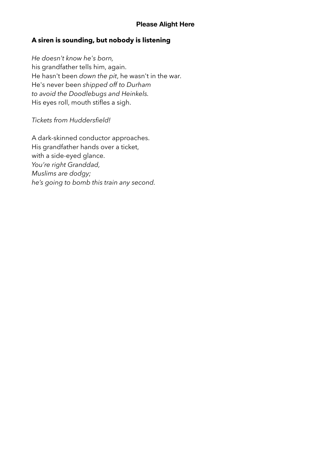# **A siren is sounding, but nobody is listening**

*He doesn't know he's born,*  his grandfather tells him, again. He hasn't been *down the pit*, he wasn't in the war. He's never been *shipped off to Durham to avoid the Doodlebugs and Heinkels.* His eyes roll, mouth stifles a sigh.

# *Tickets from Huddersfield!*

A dark-skinned conductor approaches. His grandfather hands over a ticket, with a side-eyed glance. *You're right Granddad, Muslims are dodgy; he's going to bomb this train any second.*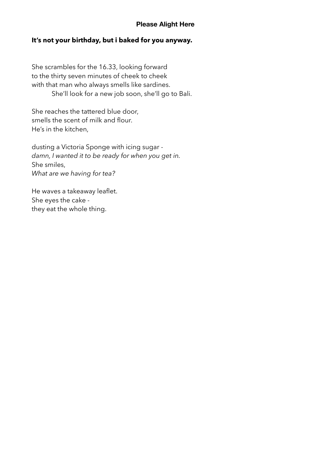## **It's not your birthday, but i baked for you anyway.**

She scrambles for the 16.33, looking forward to the thirty seven minutes of cheek to cheek with that man who always smells like sardines. She'll look for a new job soon, she'll go to Bali.

She reaches the tattered blue door, smells the scent of milk and flour. He's in the kitchen,

dusting a Victoria Sponge with icing sugar *damn, I wanted it to be ready for when you get in.*  She smiles, *What are we having for tea?*

He waves a takeaway leaflet. She eyes the cake they eat the whole thing.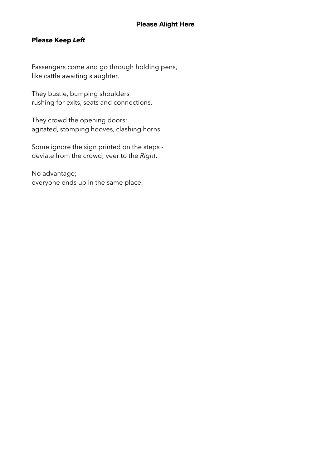# **Please Keep** *Left*

Passengers come and go through holding pens, like cattle awaiting slaughter.

They bustle, bumping shoulders rushing for exits, seats and connections.

They crowd the opening doors; agitated, stomping hooves, clashing horns.

Some ignore the sign printed on the steps deviate from the crowd; veer to the *Right*.

No advantage; everyone ends up in the same place.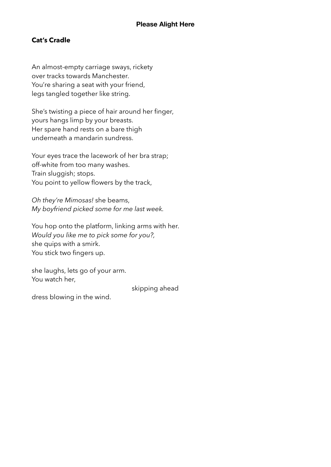# **Cat's Cradle**

An almost-empty carriage sways, rickety over tracks towards Manchester. You're sharing a seat with your friend, legs tangled together like string.

She's twisting a piece of hair around her finger, yours hangs limp by your breasts. Her spare hand rests on a bare thigh underneath a mandarin sundress.

Your eyes trace the lacework of her bra strap; off-white from too many washes. Train sluggish; stops. You point to yellow flowers by the track,

*Oh they're Mimosas!* she beams, *My boyfriend picked some for me last week.* 

You hop onto the platform, linking arms with her. *Would you like me to pick some for you?,*  she quips with a smirk. You stick two fingers up.

she laughs, lets go of your arm. You watch her,

skipping ahead

dress blowing in the wind.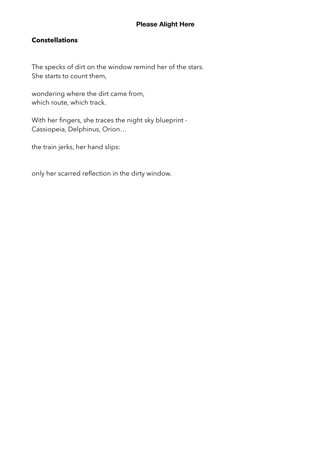# **Constellations**

The specks of dirt on the window remind her of the stars. She starts to count them,

wondering where the dirt came from, which route, which track.

With her fingers, she traces the night sky blueprint - Cassiopeia, Delphinus, Orion…

the train jerks, her hand slips:

only her scarred reflection in the dirty window.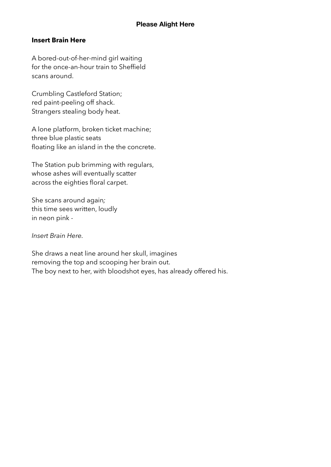# **Insert Brain Here**

A bored-out-of-her-mind girl waiting for the once-an-hour train to Sheffield scans around.

Crumbling Castleford Station; red paint-peeling off shack. Strangers stealing body heat.

A lone platform, broken ticket machine; three blue plastic seats floating like an island in the the concrete.

The Station pub brimming with regulars, whose ashes will eventually scatter across the eighties floral carpet.

She scans around again*;*  this time sees written, loudly in neon pink -

*Insert Brain Here.* 

She draws a neat line around her skull, imagines removing the top and scooping her brain out. The boy next to her, with bloodshot eyes, has already offered his.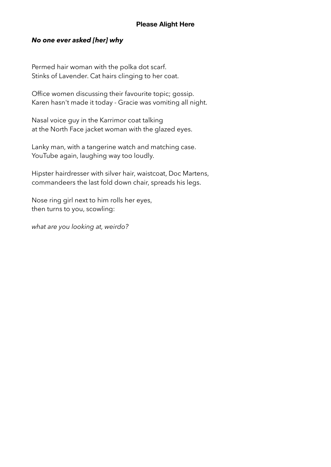### *No one ever asked [her] why*

Permed hair woman with the polka dot scarf. Stinks of Lavender. Cat hairs clinging to her coat.

Office women discussing their favourite topic; gossip. Karen hasn't made it today - Gracie was vomiting all night.

Nasal voice guy in the Karrimor coat talking at the North Face jacket woman with the glazed eyes.

Lanky man, with a tangerine watch and matching case. YouTube again, laughing way too loudly.

Hipster hairdresser with silver hair, waistcoat, Doc Martens, commandeers the last fold down chair, spreads his legs.

Nose ring girl next to him rolls her eyes, then turns to you, scowling:

*what are you looking at, weirdo?*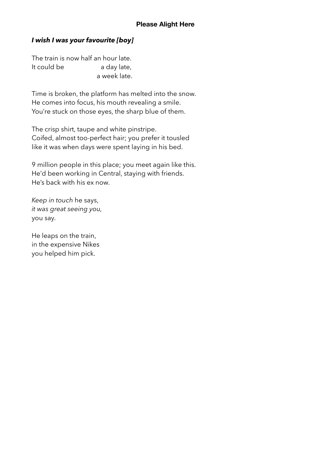# *I wish I was your favourite [boy]*

The train is now half an hour late. It could be a day late, a week late.

Time is broken, the platform has melted into the snow. He comes into focus, his mouth revealing a smile. You're stuck on those eyes, the sharp blue of them.

The crisp shirt, taupe and white pinstripe. Coifed, almost too-perfect hair; you prefer it tousled like it was when days were spent laying in his bed.

9 million people in this place; you meet again like this. He'd been working in Central, staying with friends. He's back with his ex now.

*Keep in touch* he says, *it was great seeing you,*  you say.

He leaps on the train, in the expensive Nikes you helped him pick.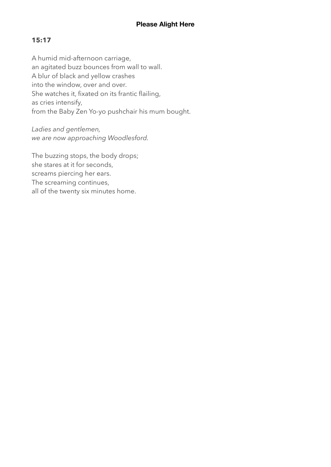# **15:17**

A humid mid-afternoon carriage, an agitated buzz bounces from wall to wall. A blur of black and yellow crashes into the window, over and over. She watches it, fixated on its frantic flailing, as cries intensify, from the Baby Zen Yo-yo pushchair his mum bought.

*Ladies and gentlemen, we are now approaching Woodlesford.* 

The buzzing stops, the body drops; she stares at it for seconds, screams piercing her ears. The screaming continues, all of the twenty six minutes home.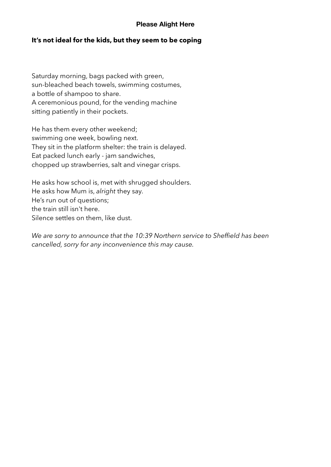### **It's not ideal for the kids, but they seem to be coping**

Saturday morning, bags packed with green, sun-bleached beach towels, swimming costumes, a bottle of shampoo to share. A ceremonious pound, for the vending machine sitting patiently in their pockets.

He has them every other weekend; swimming one week, bowling next. They sit in the platform shelter: the train is delayed. Eat packed lunch early - jam sandwiches, chopped up strawberries, salt and vinegar crisps.

He asks how school is, met with shrugged shoulders. He asks how Mum is, *alright* they say. He's run out of questions; the train still isn't here. Silence settles on them, like dust.

*We are sorry to announce that the 10:39 Northern service to Sheffield has been cancelled, sorry for any inconvenience this may cause.*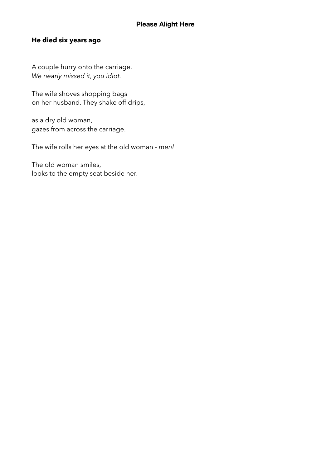# **He died six years ago**

A couple hurry onto the carriage. *We nearly missed it, you idiot.* 

The wife shoves shopping bags on her husband. They shake off drips,

as a dry old woman, gazes from across the carriage.

The wife rolls her eyes at the old woman - *men!* 

The old woman smiles, looks to the empty seat beside her.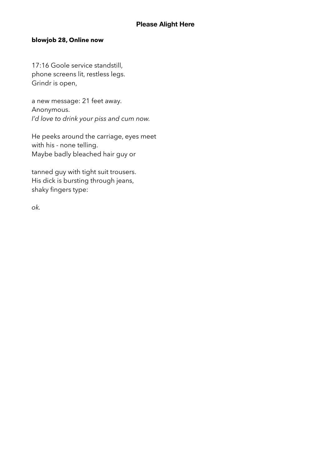### **blowjob 28, Online now**

17:16 Goole service standstill, phone screens lit, restless legs. Grindr is open,

a new message: 21 feet away. Anonymous. *I'd love to drink your piss and cum now.* 

He peeks around the carriage, eyes meet with his - none telling. Maybe badly bleached hair guy or

tanned guy with tight suit trousers. His dick is bursting through jeans, shaky fingers type:

*ok.*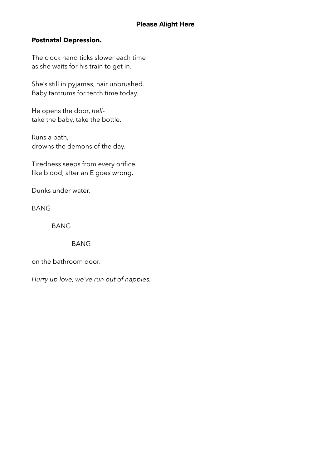# **Postnatal Depression.**

The clock hand ticks slower each time as she waits for his train to get in.

She's still in pyjamas, hair unbrushed. Baby tantrums for tenth time today.

He opens the door, *hell*take the baby, take the bottle.

Runs a bath, drowns the demons of the day.

Tiredness seeps from every orifice like blood, after an E goes wrong.

Dunks under water.

BANG

BANG

### BANG

on the bathroom door.

*Hurry up love, we've run out of nappies.*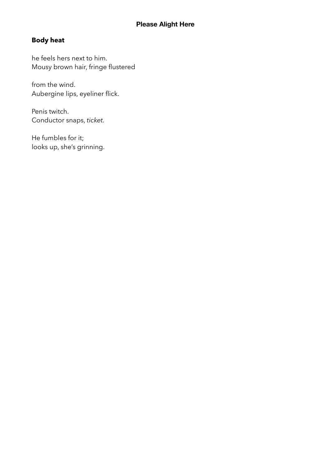# **Body heat**

he feels hers next to him. Mousy brown hair, fringe flustered

from the wind. Aubergine lips, eyeliner flick.

Penis twitch. Conductor snaps, *ticket.* 

He fumbles for it; looks up, she's grinning.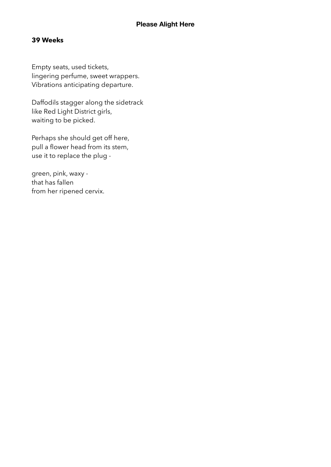# **39 Weeks**

Empty seats, used tickets, lingering perfume, sweet wrappers. Vibrations anticipating departure.

Daffodils stagger along the sidetrack like Red Light District girls, waiting to be picked.

Perhaps she should get off here, pull a flower head from its stem, use it to replace the plug -

green, pink, waxy that has fallen from her ripened cervix.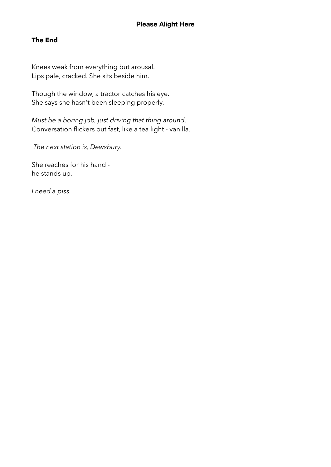# **The End**

Knees weak from everything but arousal. Lips pale, cracked. She sits beside him.

Though the window, a tractor catches his eye. She says she hasn't been sleeping properly.

*Must be a boring job, just driving that thing around*. Conversation flickers out fast, like a tea light - vanilla.

*The next station is, Dewsbury.* 

She reaches for his hand he stands up.

*I need a piss.*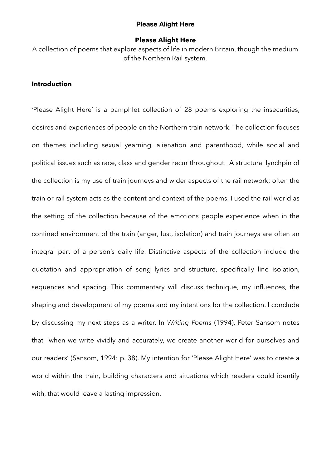### **Please Alight Here**

A collection of poems that explore aspects of life in modern Britain, though the medium of the Northern Rail system.

### **Introduction**

*'*Please Alight Here' is a pamphlet collection of 28 poems exploring the insecurities, desires and experiences of people on the Northern train network. The collection focuses on themes including sexual yearning, alienation and parenthood, while social and political issues such as race, class and gender recur throughout. A structural lynchpin of the collection is my use of train journeys and wider aspects of the rail network; often the train or rail system acts as the content and context of the poems. I used the rail world as the setting of the collection because of the emotions people experience when in the confined environment of the train (anger, lust, isolation) and train journeys are often an integral part of a person's daily life. Distinctive aspects of the collection include the quotation and appropriation of song lyrics and structure, specifically line isolation, sequences and spacing. This commentary will discuss technique, my influences, the shaping and development of my poems and my intentions for the collection. I conclude by discussing my next steps as a writer. In *Writing Poems* (1994), Peter Sansom notes that, 'when we write vividly and accurately, we create another world for ourselves and our readers' (Sansom, 1994: p. 38). My intention for 'Please Alight Here' was to create a world within the train, building characters and situations which readers could identify with, that would leave a lasting impression.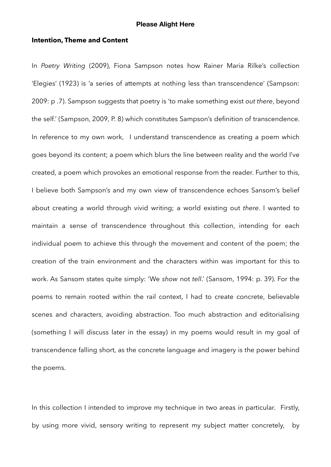### **Intention, Theme and Content**

In *Poetry Writing* (2009), Fiona Sampson notes how Rainer Maria Rilke's collection 'Elegies' (1923) is 'a series of attempts at nothing less than transcendence' (Sampson: 2009: p .7). Sampson suggests that poetry is 'to make something exist *out there*, beyond the self.' (Sampson, 2009, P. 8) which constitutes Sampson's definition of transcendence. In reference to my own work, I understand transcendence as creating a poem which goes beyond its content; a poem which blurs the line between reality and the world I've created, a poem which provokes an emotional response from the reader. Further to this, I believe both Sampson's and my own view of transcendence echoes Sansom's belief about creating a world through vivid writing; a world existing out *there*. I wanted to maintain a sense of transcendence throughout this collection, intending for each individual poem to achieve this through the movement and content of the poem; the creation of the train environment and the characters within was important for this to work. As Sansom states quite simply: 'We *show* not *tell*.' (Sansom, 1994: p. 39). For the poems to remain rooted within the rail context, I had to create concrete, believable scenes and characters, avoiding abstraction. Too much abstraction and editorialising (something I will discuss later in the essay) in my poems would result in my goal of transcendence falling short, as the concrete language and imagery is the power behind the poems.

In this collection I intended to improve my technique in two areas in particular. Firstly, by using more vivid, sensory writing to represent my subject matter concretely, by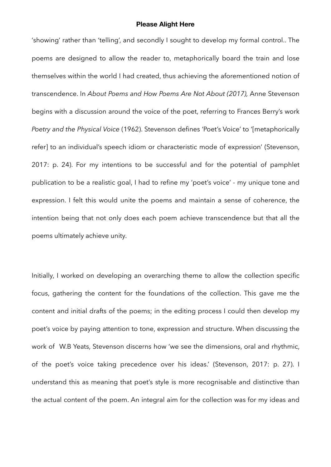'showing' rather than 'telling', and secondly I sought to develop my formal control.. The poems are designed to allow the reader to, metaphorically board the train and lose themselves within the world I had created, thus achieving the aforementioned notion of transcendence. In *About Poems and How Poems Are Not About (2017),* Anne Stevenson begins with a discussion around the voice of the poet, referring to Frances Berry's work *Poetry and the Physical Voice* (1962). Stevenson defines 'Poet's Voice' to '[metaphorically refer] to an individual's speech idiom or characteristic mode of expression' (Stevenson, 2017: p. 24). For my intentions to be successful and for the potential of pamphlet publication to be a realistic goal, I had to refine my 'poet's voice' - my unique tone and expression. I felt this would unite the poems and maintain a sense of coherence, the intention being that not only does each poem achieve transcendence but that all the poems ultimately achieve unity.

Initially, I worked on developing an overarching theme to allow the collection specific focus, gathering the content for the foundations of the collection. This gave me the content and initial drafts of the poems; in the editing process I could then develop my poet's voice by paying attention to tone, expression and structure. When discussing the work of W.B Yeats, Stevenson discerns how 'we see the dimensions, oral and rhythmic, of the poet's voice taking precedence over his ideas.' (Stevenson, 2017: p. 27). I understand this as meaning that poet's style is more recognisable and distinctive than the actual content of the poem. An integral aim for the collection was for my ideas and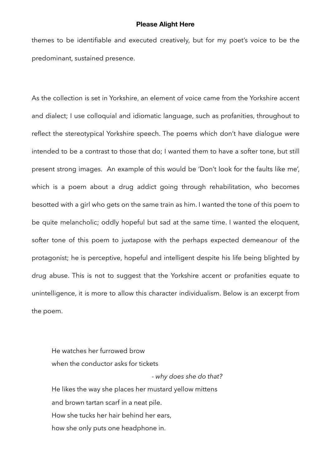themes to be identifiable and executed creatively, but for my poet's voice to be the predominant, sustained presence.

As the collection is set in Yorkshire, an element of voice came from the Yorkshire accent and dialect; I use colloquial and idiomatic language, such as profanities, throughout to reflect the stereotypical Yorkshire speech. The poems which don't have dialogue were intended to be a contrast to those that do; I wanted them to have a softer tone, but still present strong images. An example of this would be 'Don't look for the faults like me', which is a poem about a drug addict going through rehabilitation, who becomes besotted with a girl who gets on the same train as him. I wanted the tone of this poem to be quite melancholic; oddly hopeful but sad at the same time. I wanted the eloquent, softer tone of this poem to juxtapose with the perhaps expected demeanour of the protagonist; he is perceptive, hopeful and intelligent despite his life being blighted by drug abuse. This is not to suggest that the Yorkshire accent or profanities equate to unintelligence, it is more to allow this character individualism. Below is an excerpt from the poem.

He watches her furrowed brow when the conductor asks for tickets - *why does she do that?* He likes the way she places her mustard yellow mittens and brown tartan scarf in a neat pile. How she tucks her hair behind her ears, how she only puts one headphone in.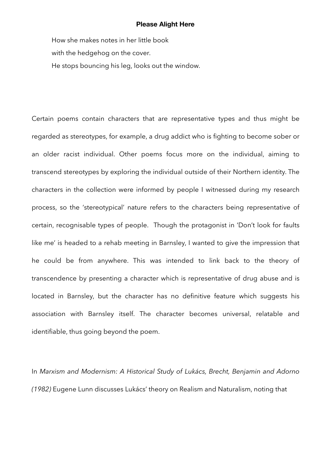How she makes notes in her little book with the hedgehog on the cover. He stops bouncing his leg, looks out the window.

Certain poems contain characters that are representative types and thus might be regarded as stereotypes, for example, a drug addict who is fighting to become sober or an older racist individual. Other poems focus more on the individual, aiming to transcend stereotypes by exploring the individual outside of their Northern identity. The characters in the collection were informed by people I witnessed during my research process, so the 'stereotypical' nature refers to the characters being representative of certain, recognisable types of people. Though the protagonist in 'Don't look for faults like me' is headed to a rehab meeting in Barnsley, I wanted to give the impression that he could be from anywhere. This was intended to link back to the theory of transcendence by presenting a character which is representative of drug abuse and is located in Barnsley, but the character has no definitive feature which suggests his association with Barnsley itself. The character becomes universal, relatable and identifiable, thus going beyond the poem.

In *Marxism and Modernism: A Historical Study of Lukács, Brecht, Benjamin and Adorno (1982)* Eugene Lunn discusses Lukács' theory on Realism and Naturalism, noting that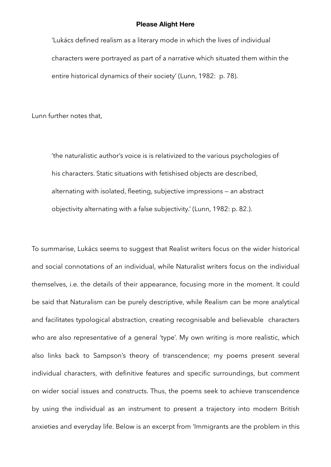'Lukács defined realism as a literary mode in which the lives of individual characters were portrayed as part of a narrative which situated them within the entire historical dynamics of their society' (Lunn, 1982: p. 78).

Lunn further notes that,

 'the naturalistic author's voice is is relativized to the various psychologies of his characters. Static situations with fetishised objects are described, alternating with isolated, fleeting, subjective impressions — an abstract objectivity alternating with a false subjectivity.' (Lunn, 1982: p. 82.).

To summarise, Lukács seems to suggest that Realist writers focus on the wider historical and social connotations of an individual, while Naturalist writers focus on the individual themselves, i.e. the details of their appearance, focusing more in the moment. It could be said that Naturalism can be purely descriptive, while Realism can be more analytical and facilitates typological abstraction, creating recognisable and believable characters who are also representative of a general 'type'. My own writing is more realistic, which also links back to Sampson's theory of transcendence; my poems present several individual characters, with definitive features and specific surroundings, but comment on wider social issues and constructs. Thus, the poems seek to achieve transcendence by using the individual as an instrument to present a trajectory into modern British anxieties and everyday life. Below is an excerpt from 'Immigrants are the problem in this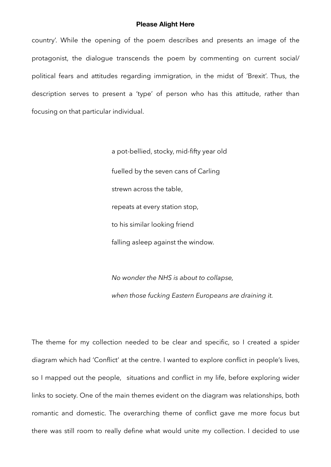country'. While the opening of the poem describes and presents an image of the protagonist, the dialogue transcends the poem by commenting on current social/ political fears and attitudes regarding immigration, in the midst of 'Brexit'. Thus, the description serves to present a 'type' of person who has this attitude, rather than focusing on that particular individual.

> a pot-bellied, stocky, mid-fifty year old fuelled by the seven cans of Carling strewn across the table, repeats at every station stop, to his similar looking friend falling asleep against the window.

 *No wonder the NHS is about to collapse, when those fucking Eastern Europeans are draining it.* 

The theme for my collection needed to be clear and specific, so I created a spider diagram which had 'Conflict' at the centre. I wanted to explore conflict in people's lives, so I mapped out the people, situations and conflict in my life, before exploring wider links to society. One of the main themes evident on the diagram was relationships, both romantic and domestic. The overarching theme of conflict gave me more focus but there was still room to really define what would unite my collection. I decided to use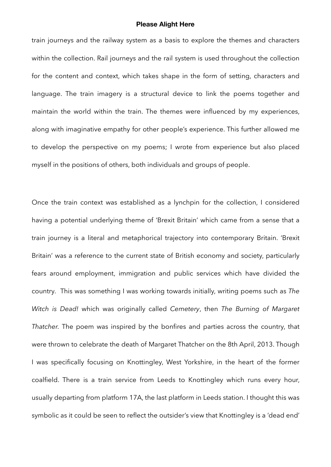train journeys and the railway system as a basis to explore the themes and characters within the collection. Rail journeys and the rail system is used throughout the collection for the content and context, which takes shape in the form of setting, characters and language. The train imagery is a structural device to link the poems together and maintain the world within the train. The themes were influenced by my experiences, along with imaginative empathy for other people's experience. This further allowed me to develop the perspective on my poems; I wrote from experience but also placed myself in the positions of others, both individuals and groups of people.

Once the train context was established as a lynchpin for the collection, I considered having a potential underlying theme of 'Brexit Britain' which came from a sense that a train journey is a literal and metaphorical trajectory into contemporary Britain. 'Brexit Britain' was a reference to the current state of British economy and society, particularly fears around employment, immigration and public services which have divided the country. This was something I was working towards initially, writing poems such as *The Witch is Dead!* which was originally called *Cemetery*, then *The Burning of Margaret Thatcher.* The poem was inspired by the bonfires and parties across the country, that were thrown to celebrate the death of Margaret Thatcher on the 8th April, 2013. Though I was specifically focusing on Knottingley, West Yorkshire, in the heart of the former coalfield. There is a train service from Leeds to Knottingley which runs every hour, usually departing from platform 17A, the last platform in Leeds station. I thought this was symbolic as it could be seen to reflect the outsider's view that Knottingley is a 'dead end'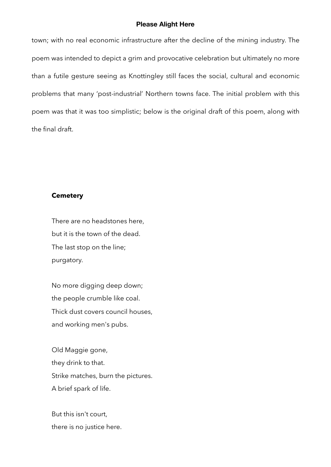town; with no real economic infrastructure after the decline of the mining industry. The poem was intended to depict a grim and provocative celebration but ultimately no more than a futile gesture seeing as Knottingley still faces the social, cultural and economic problems that many 'post-industrial' Northern towns face. The initial problem with this poem was that it was too simplistic; below is the original draft of this poem, along with the final draft.

#### **Cemetery**

There are no headstones here, but it is the town of the dead. The last stop on the line; purgatory.

No more digging deep down; the people crumble like coal. Thick dust covers council houses, and working men's pubs.

Old Maggie gone, they drink to that. Strike matches, burn the pictures. A brief spark of life.

But this isn't court, there is no justice here.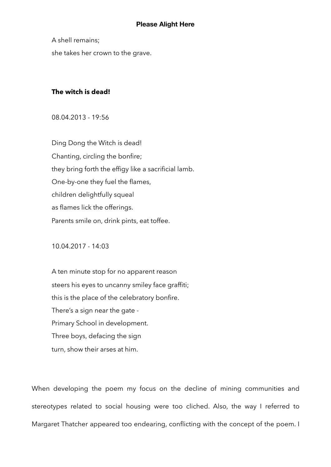A shell remains; she takes her crown to the grave.

### **The witch is dead!**

08.04.2013 - 19:56

Ding Dong the Witch is dead! Chanting, circling the bonfire; they bring forth the effigy like a sacrificial lamb. One-by-one they fuel the flames, children delightfully squeal as flames lick the offerings. Parents smile on, drink pints, eat toffee.

10.04.2017 - 14:03

A ten minute stop for no apparent reason steers his eyes to uncanny smiley face graffiti; this is the place of the celebratory bonfire. There's a sign near the gate - Primary School in development. Three boys, defacing the sign turn, show their arses at him.

When developing the poem my focus on the decline of mining communities and stereotypes related to social housing were too cliched. Also, the way I referred to Margaret Thatcher appeared too endearing, conflicting with the concept of the poem. I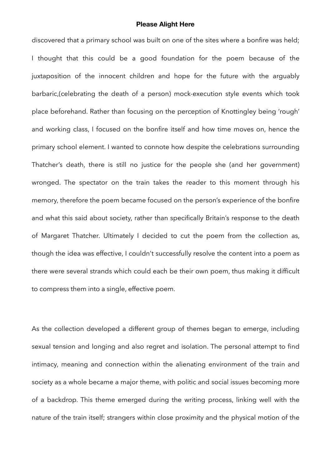discovered that a primary school was built on one of the sites where a bonfire was held; I thought that this could be a good foundation for the poem because of the juxtaposition of the innocent children and hope for the future with the arguably barbaric,(celebrating the death of a person) mock-execution style events which took place beforehand. Rather than focusing on the perception of Knottingley being 'rough' and working class, I focused on the bonfire itself and how time moves on, hence the primary school element. I wanted to connote how despite the celebrations surrounding Thatcher's death, there is still no justice for the people she (and her government) wronged. The spectator on the train takes the reader to this moment through his memory, therefore the poem became focused on the person's experience of the bonfire and what this said about society, rather than specifically Britain's response to the death of Margaret Thatcher. Ultimately I decided to cut the poem from the collection as, though the idea was effective, I couldn't successfully resolve the content into a poem as there were several strands which could each be their own poem, thus making it difficult to compress them into a single, effective poem.

As the collection developed a different group of themes began to emerge, including sexual tension and longing and also regret and isolation. The personal attempt to find intimacy, meaning and connection within the alienating environment of the train and society as a whole became a major theme, with politic and social issues becoming more of a backdrop. This theme emerged during the writing process, linking well with the nature of the train itself; strangers within close proximity and the physical motion of the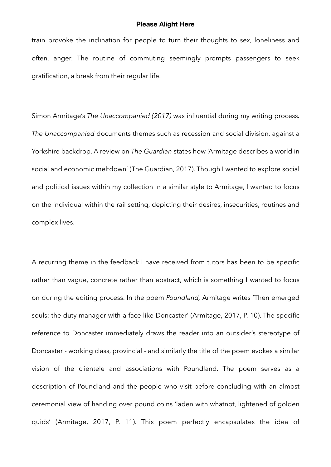train provoke the inclination for people to turn their thoughts to sex, loneliness and often, anger. The routine of commuting seemingly prompts passengers to seek gratification, a break from their regular life.

Simon Armitage's *The Unaccompanied (2017)* was influential during my writing process*. The Unaccompanied* documents themes such as recession and social division, against a Yorkshire backdrop. A review on *The Guardian* states how 'Armitage describes a world in social and economic meltdown' (The Guardian, 2017). Though I wanted to explore social and political issues within my collection in a similar style to Armitage, I wanted to focus on the individual within the rail setting, depicting their desires, insecurities, routines and complex lives.

A recurring theme in the feedback I have received from tutors has been to be specific rather than vague, concrete rather than abstract, which is something I wanted to focus on during the editing process. In the poem *Poundland,* Armitage writes 'Then emerged souls: the duty manager with a face like Doncaster' (Armitage, 2017, P. 10). The specific reference to Doncaster immediately draws the reader into an outsider's stereotype of Doncaster - working class, provincial - and similarly the title of the poem evokes a similar vision of the clientele and associations with Poundland. The poem serves as a description of Poundland and the people who visit before concluding with an almost ceremonial view of handing over pound coins 'laden with whatnot, lightened of golden quids' (Armitage, 2017, P. 11). This poem perfectly encapsulates the idea of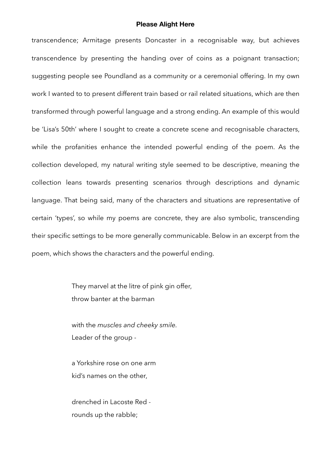transcendence; Armitage presents Doncaster in a recognisable way, but achieves transcendence by presenting the handing over of coins as a poignant transaction; suggesting people see Poundland as a community or a ceremonial offering. In my own work I wanted to to present different train based or rail related situations, which are then transformed through powerful language and a strong ending. An example of this would be 'Lisa's 50th' where I sought to create a concrete scene and recognisable characters, while the profanities enhance the intended powerful ending of the poem. As the collection developed, my natural writing style seemed to be descriptive, meaning the collection leans towards presenting scenarios through descriptions and dynamic language. That being said, many of the characters and situations are representative of certain 'types', so while my poems are concrete, they are also symbolic, transcending their specific settings to be more generally communicable. Below in an excerpt from the poem, which shows the characters and the powerful ending.

> They marvel at the litre of pink gin offer, throw banter at the barman

 with the *muscles and cheeky smile.* Leader of the group -

 a Yorkshire rose on one arm kid's names on the other,

 drenched in Lacoste Red rounds up the rabble;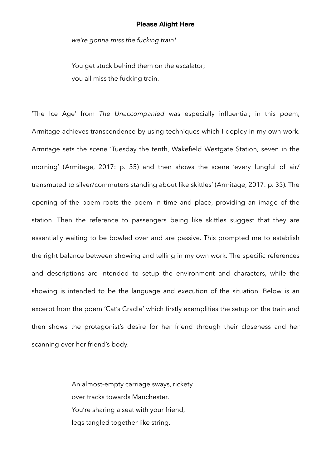*we're gonna miss the fucking train!* 

You get stuck behind them on the escalator; you all miss the fucking train.

'The Ice Age' from *The Unaccompanied* was especially influential; in this poem, Armitage achieves transcendence by using techniques which I deploy in my own work. Armitage sets the scene 'Tuesday the tenth, Wakefield Westgate Station, seven in the morning' (Armitage, 2017: p. 35) and then shows the scene 'every lungful of air/ transmuted to silver/commuters standing about like skittles' (Armitage, 2017: p. 35). The opening of the poem roots the poem in time and place, providing an image of the station. Then the reference to passengers being like skittles suggest that they are essentially waiting to be bowled over and are passive. This prompted me to establish the right balance between showing and telling in my own work. The specific references and descriptions are intended to setup the environment and characters, while the showing is intended to be the language and execution of the situation. Below is an excerpt from the poem 'Cat's Cradle' which firstly exemplifies the setup on the train and then shows the protagonist's desire for her friend through their closeness and her scanning over her friend's body.

> An almost-empty carriage sways, rickety over tracks towards Manchester. You're sharing a seat with your friend, legs tangled together like string.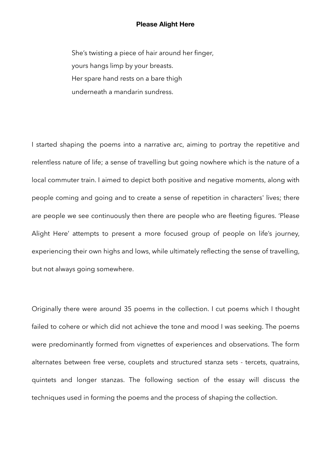She's twisting a piece of hair around her finger, yours hangs limp by your breasts. Her spare hand rests on a bare thigh underneath a mandarin sundress.

I started shaping the poems into a narrative arc, aiming to portray the repetitive and relentless nature of life; a sense of travelling but going nowhere which is the nature of a local commuter train. I aimed to depict both positive and negative moments, along with people coming and going and to create a sense of repetition in characters' lives; there are people we see continuously then there are people who are fleeting figures. 'Please Alight Here' attempts to present a more focused group of people on life's journey, experiencing their own highs and lows, while ultimately reflecting the sense of travelling, but not always going somewhere.

Originally there were around 35 poems in the collection. I cut poems which I thought failed to cohere or which did not achieve the tone and mood I was seeking. The poems were predominantly formed from vignettes of experiences and observations. The form alternates between free verse, couplets and structured stanza sets - tercets, quatrains, quintets and longer stanzas. The following section of the essay will discuss the techniques used in forming the poems and the process of shaping the collection.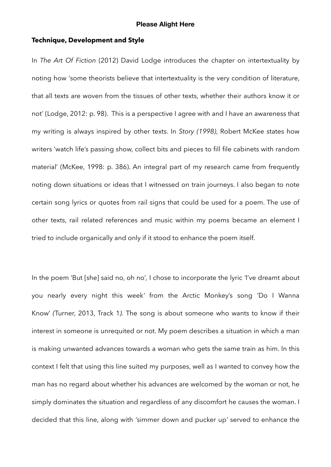### **Technique, Development and Style**

In *The Art Of Fiction* (2012) David Lodge introduces the chapter on intertextuality by noting how 'some theorists believe that intertextuality is the very condition of literature, that all texts are woven from the tissues of other texts, whether their authors know it or not' (Lodge, 2012: p. 98). This is a perspective I agree with and I have an awareness that my writing is always inspired by other texts. In *Story (1998)*, Robert McKee states how writers 'watch life's passing show, collect bits and pieces to fill file cabinets with random material' (McKee, 1998: p. 386). An integral part of my research came from frequently noting down situations or ideas that I witnessed on train journeys. I also began to note certain song lyrics or quotes from rail signs that could be used for a poem. The use of other texts, rail related references and music within my poems became an element I tried to include organically and only if it stood to enhance the poem itself.

In the poem 'But [she] said no, oh no'*,* I chose to incorporate the lyric *'*I've dreamt about you nearly every night this week*'* from the Arctic Monkey's song 'Do I Wanna Know' *(*Turner, 2013, Track 1*).* The song is about someone who wants to know if their interest in someone is unrequited or not. My poem describes a situation in which a man is making unwanted advances towards a woman who gets the same train as him. In this context I felt that using this line suited my purposes, well as I wanted to convey how the man has no regard about whether his advances are welcomed by the woman or not, he simply dominates the situation and regardless of any discomfort he causes the woman. I decided that this line, along with *'*simmer down and pucker up*'* served to enhance the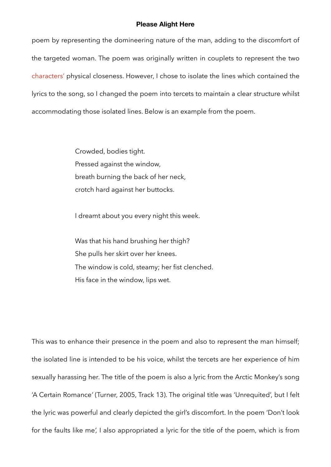poem by representing the domineering nature of the man, adding to the discomfort of the targeted woman. The poem was originally written in couplets to represent the two characters' physical closeness. However, I chose to isolate the lines which contained the lyrics to the song, so I changed the poem into tercets to maintain a clear structure whilst accommodating those isolated lines. Below is an example from the poem.

> Crowded, bodies tight. Pressed against the window, breath burning the back of her neck, crotch hard against her buttocks.

I dreamt about you every night this week.

 Was that his hand brushing her thigh? She pulls her skirt over her knees. The window is cold, steamy; her fist clenched. His face in the window, lips wet.

This was to enhance their presence in the poem and also to represent the man himself; the isolated line is intended to be his voice, whilst the tercets are her experience of him sexually harassing her. The title of the poem is also a lyric from the Arctic Monkey's song 'A Certain Romance*'* (Turner, 2005, Track 13). The original title was 'Unrequited', but I felt the lyric was powerful and clearly depicted the girl's discomfort. In the poem 'Don't look for the faults like me*',* I also appropriated a lyric for the title of the poem, which is from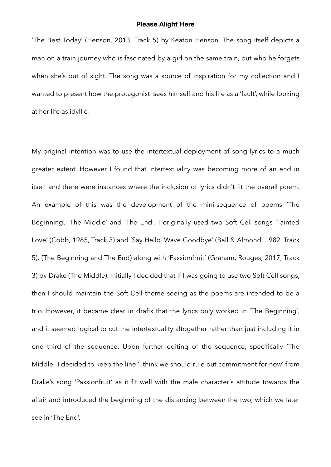'The Best Today' (Henson, 2013, Track 5) by Keaton Henson. The song itself depicts a man on a train journey who is fascinated by a girl on the same train, but who he forgets when she's out of sight. The song was a source of inspiration for my collection and I wanted to present how the protagonist sees himself and his life as a 'fault', while looking at her life as idyllic.

My original intention was to use the intertextual deployment of song lyrics to a much greater extent. However I found that intertextuality was becoming more of an end in itself and there were instances where the inclusion of lyrics didn't fit the overall poem. An example of this was the development of the mini-sequence of poems 'The Beginning', 'The Middle' and 'The End'*.* I originally used two Soft Cell songs 'Tainted Love' (Cobb, 1965, Track 3) and 'Say Hello, Wave Goodbye' (Ball & Almond, 1982, Track 5), (The Beginning and The End) along with 'Passionfruit' (Graham, Rouges, 2017, Track 3) by Drake (The Middle). Initially I decided that if I was going to use two Soft Cell songs, then I should maintain the Soft Cell theme seeing as the poems are intended to be a trio. However, it became clear in drafts that the lyrics only worked in 'The Beginning'*,*  and it seemed logical to cut the intertextuality altogether rather than just including it in one third of the sequence. Upon further editing of the sequence, specifically 'The Middle', I decided to keep the line 'I think we should rule out commitment for now' from Drake's song 'Passionfruit' as it fit well with the male character's attitude towards the affair and introduced the beginning of the distancing between the two, which we later see in 'The End'.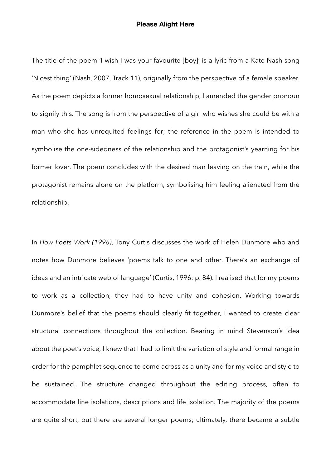The title of the poem 'I wish I was your favourite [boy]' is a lyric from a Kate Nash song 'Nicest thing' (Nash, 2007, Track 11)*,* originally from the perspective of a female speaker. As the poem depicts a former homosexual relationship, I amended the gender pronoun to signify this. The song is from the perspective of a girl who wishes she could be with a man who she has unrequited feelings for; the reference in the poem is intended to symbolise the one-sidedness of the relationship and the protagonist's yearning for his former lover. The poem concludes with the desired man leaving on the train, while the protagonist remains alone on the platform, symbolising him feeling alienated from the relationship.

In *How Poets Work (1996)*, Tony Curtis discusses the work of Helen Dunmore who and notes how Dunmore believes 'poems talk to one and other. There's an exchange of ideas and an intricate web of language' (Curtis, 1996: p. 84). I realised that for my poems to work as a collection, they had to have unity and cohesion. Working towards Dunmore's belief that the poems should clearly fit together, I wanted to create clear structural connections throughout the collection. Bearing in mind Stevenson's idea about the poet's voice, I knew that I had to limit the variation of style and formal range in order for the pamphlet sequence to come across as a unity and for my voice and style to be sustained. The structure changed throughout the editing process, often to accommodate line isolations, descriptions and life isolation. The majority of the poems are quite short, but there are several longer poems; ultimately, there became a subtle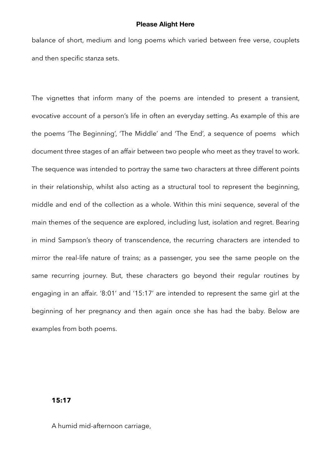balance of short, medium and long poems which varied between free verse, couplets and then specific stanza sets.

The vignettes that inform many of the poems are intended to present a transient, evocative account of a person's life in often an everyday setting. As example of this are the poems 'The Beginning', 'The Middle' and 'The End'*,* a sequence of poems which document three stages of an affair between two people who meet as they travel to work. The sequence was intended to portray the same two characters at three different points in their relationship, whilst also acting as a structural tool to represent the beginning, middle and end of the collection as a whole. Within this mini sequence, several of the main themes of the sequence are explored, including lust, isolation and regret. Bearing in mind Sampson's theory of transcendence, the recurring characters are intended to mirror the real-life nature of trains; as a passenger, you see the same people on the same recurring journey. But, these characters go beyond their regular routines by engaging in an affair. '8:01' and '15:17' are intended to represent the same girl at the beginning of her pregnancy and then again once she has had the baby. Below are examples from both poems.

## **15:17**

A humid mid-afternoon carriage,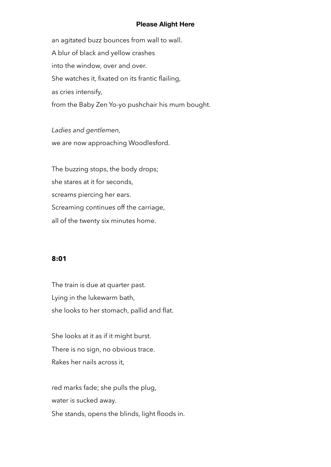an agitated buzz bounces from wall to wall. A blur of black and yellow crashes into the window, over and over. She watches it, fixated on its frantic flailing, as cries intensify, from the Baby Zen Yo-yo pushchair his mum bought.

*Ladies and gentlemen,*  we are now approaching Woodlesford.

 The buzzing stops, the body drops; she stares at it for seconds, screams piercing her ears. Screaming continues off the carriage, all of the twenty six minutes home.

### **8:01**

 The train is due at quarter past. Lying in the lukewarm bath, she looks to her stomach, pallid and flat.

 She looks at it as if it might burst. There is no sign, no obvious trace. Rakes her nails across it,

 red marks fade; she pulls the plug, water is sucked away. She stands, opens the blinds, light floods in.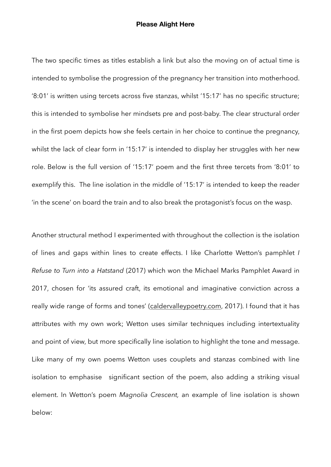The two specific times as titles establish a link but also the moving on of actual time is intended to symbolise the progression of the pregnancy her transition into motherhood. '8:01' is written using tercets across five stanzas, whilst '15:17' has no specific structure; this is intended to symbolise her mindsets pre and post-baby. The clear structural order in the first poem depicts how she feels certain in her choice to continue the pregnancy, whilst the lack of clear form in '15:17' is intended to display her struggles with her new role. Below is the full version of '15:17' poem and the first three tercets from '8:01' to exemplify this. The line isolation in the middle of '15:17' is intended to keep the reader 'in the scene' on board the train and to also break the protagonist's focus on the wasp.

Another structural method I experimented with throughout the collection is the isolation of lines and gaps within lines to create effects. I like Charlotte Wetton's pamphlet *I Refuse to Turn into a Hatstand* (2017) which won the Michael Marks Pamphlet Award in 2017, chosen for 'its assured craft, its emotional and imaginative conviction across a really wide range of forms and tones' [\(caldervalleypoetry.com,](http://caldervalleypoetry.com) 2017). I found that it has attributes with my own work; Wetton uses similar techniques including intertextuality and point of view, but more specifically line isolation to highlight the tone and message. Like many of my own poems Wetton uses couplets and stanzas combined with line isolation to emphasise significant section of the poem, also adding a striking visual element. In Wetton's poem *Magnolia Crescent,* an example of line isolation is shown below: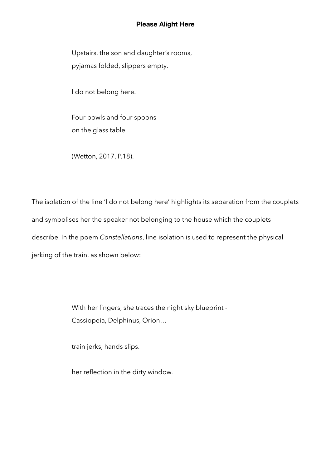Upstairs, the son and daughter's rooms, pyjamas folded, slippers empty.

I do not belong here.

 Four bowls and four spoons on the glass table.

(Wetton, 2017, P.18).

The isolation of the line 'I do not belong here' highlights its separation from the couplets and symbolises her the speaker not belonging to the house which the couplets describe. In the poem *Constellations*, line isolation is used to represent the physical jerking of the train, as shown below:

> With her fingers, she traces the night sky blueprint - Cassiopeia, Delphinus, Orion…

train jerks, hands slips.

her reflection in the dirty window.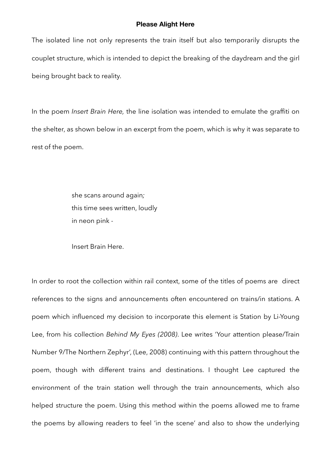The isolated line not only represents the train itself but also temporarily disrupts the couplet structure, which is intended to depict the breaking of the daydream and the girl being brought back to reality.

In the poem *Insert Brain Here,* the line isolation was intended to emulate the graffiti on the shelter, as shown below in an excerpt from the poem, which is why it was separate to rest of the poem.

> she scans around again*;*  this time sees written, loudly in neon pink -

Insert Brain Here.

In order to root the collection within rail context, some of the titles of poems are direct references to the signs and announcements often encountered on trains/in stations. A poem which influenced my decision to incorporate this element is Station by Li-Young Lee, from his collection *Behind My Eyes (2008)*. Lee writes 'Your attention please/Train Number 9/The Northern Zephyr', (Lee, 2008) continuing with this pattern throughout the poem, though with different trains and destinations. I thought Lee captured the environment of the train station well through the train announcements, which also helped structure the poem. Using this method within the poems allowed me to frame the poems by allowing readers to feel 'in the scene' and also to show the underlying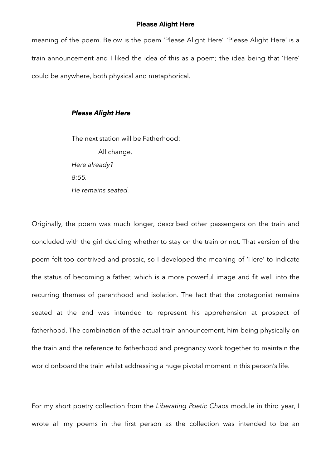meaning of the poem. Below is the poem 'Please Alight Here'. *'*Please Alight Here' is a train announcement and I liked the idea of this as a poem; the idea being that 'Here' could be anywhere, both physical and metaphorical.

### *Please Alight Here*

The next station will be Fatherhood: All change.  *Here already? 8:55. He remains seated.* 

Originally, the poem was much longer, described other passengers on the train and concluded with the girl deciding whether to stay on the train or not. That version of the poem felt too contrived and prosaic, so I developed the meaning of 'Here' to indicate the status of becoming a father, which is a more powerful image and fit well into the recurring themes of parenthood and isolation. The fact that the protagonist remains seated at the end was intended to represent his apprehension at prospect of fatherhood. The combination of the actual train announcement, him being physically on the train and the reference to fatherhood and pregnancy work together to maintain the world onboard the train whilst addressing a huge pivotal moment in this person's life.

For my short poetry collection from the *Liberating Poetic Chaos* module in third year, I wrote all my poems in the first person as the collection was intended to be an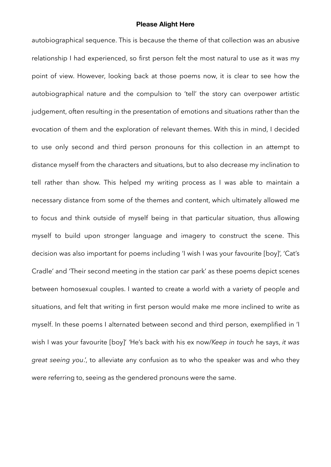autobiographical sequence. This is because the theme of that collection was an abusive relationship I had experienced, so first person felt the most natural to use as it was my point of view. However, looking back at those poems now, it is clear to see how the autobiographical nature and the compulsion to 'tell' the story can overpower artistic judgement, often resulting in the presentation of emotions and situations rather than the evocation of them and the exploration of relevant themes. With this in mind, I decided to use only second and third person pronouns for this collection in an attempt to distance myself from the characters and situations, but to also decrease my inclination to tell rather than show. This helped my writing process as I was able to maintain a necessary distance from some of the themes and content, which ultimately allowed me to focus and think outside of myself being in that particular situation, thus allowing myself to build upon stronger language and imagery to construct the scene. This decision was also important for poems including 'I wish I was your favourite [boy]', 'Cat's Cradle' and 'Their second meeting in the station car park' as these poems depict scenes between homosexual couples. I wanted to create a world with a variety of people and situations, and felt that writing in first person would make me more inclined to write as myself. In these poems I alternated between second and third person, exemplified in 'I wish I was your favourite [boy]' *'*He's back with his ex now/*Keep in touch* he says, *it was great seeing you*.', to alleviate any confusion as to who the speaker was and who they were referring to, seeing as the gendered pronouns were the same.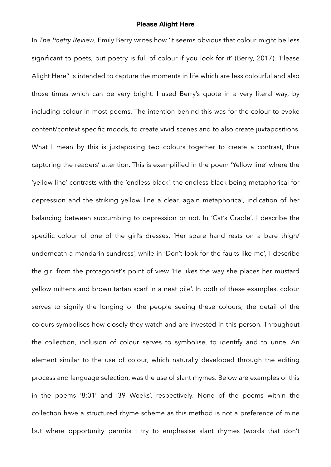In *The Poetry Review*, Emily Berry writes how 'it seems obvious that colour might be less significant to poets, but poetry is full of colour if you look for it' (Berry, 2017). 'Please Alight Here'' is intended to capture the moments in life which are less colourful and also those times which can be very bright. I used Berry's quote in a very literal way, by including colour in most poems. The intention behind this was for the colour to evoke content/context specific moods, to create vivid scenes and to also create juxtapositions. What I mean by this is juxtaposing two colours together to create a contrast, thus capturing the readers' attention. This is exemplified in the poem 'Yellow line' where the 'yellow line' contrasts with the 'endless black', the endless black being metaphorical for depression and the striking yellow line a clear, again metaphorical, indication of her balancing between succumbing to depression or not. In 'Cat's Cradle'*,* I describe the specific colour of one of the girl's dresses, 'Her spare hand rests on a bare thigh/ underneath a mandarin sundress', while in 'Don't look for the faults like me'*,* I describe the girl from the protagonist's point of view 'He likes the way she places her mustard yellow mittens and brown tartan scarf in a neat pile'. In both of these examples, colour serves to signify the longing of the people seeing these colours; the detail of the colours symbolises how closely they watch and are invested in this person. Throughout the collection, inclusion of colour serves to symbolise, to identify and to unite. An element similar to the use of colour, which naturally developed through the editing process and language selection, was the use of slant rhymes. Below are examples of this in the poems '8:01' and '39 Weeks', respectively. None of the poems within the collection have a structured rhyme scheme as this method is not a preference of mine but where opportunity permits I try to emphasise slant rhymes (words that don't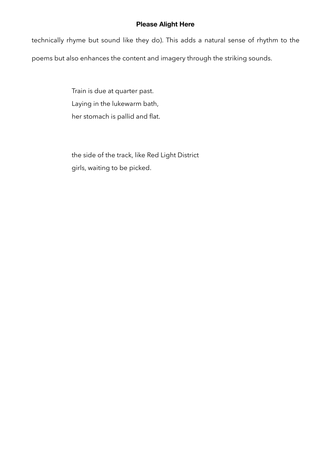technically rhyme but sound like they do). This adds a natural sense of rhythm to the poems but also enhances the content and imagery through the striking sounds.

> Train is due at quarter past. Laying in the lukewarm bath, her stomach is pallid and flat.

 the side of the track, like Red Light District girls, waiting to be picked.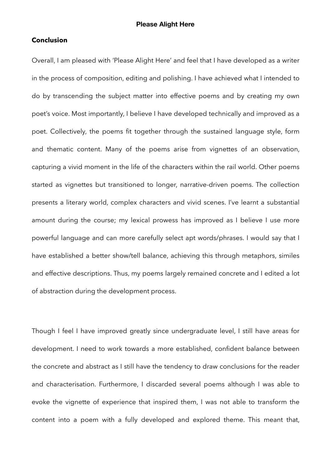### **Conclusion**

Overall, I am pleased with 'Please Alight Here' and feel that I have developed as a writer in the process of composition, editing and polishing. I have achieved what I intended to do by transcending the subject matter into effective poems and by creating my own poet's voice. Most importantly, I believe I have developed technically and improved as a poet. Collectively, the poems fit together through the sustained language style, form and thematic content. Many of the poems arise from vignettes of an observation, capturing a vivid moment in the life of the characters within the rail world. Other poems started as vignettes but transitioned to longer, narrative-driven poems. The collection presents a literary world, complex characters and vivid scenes. I've learnt a substantial amount during the course; my lexical prowess has improved as I believe I use more powerful language and can more carefully select apt words/phrases. I would say that I have established a better show/tell balance, achieving this through metaphors, similes and effective descriptions. Thus, my poems largely remained concrete and I edited a lot of abstraction during the development process.

Though I feel I have improved greatly since undergraduate level, I still have areas for development. I need to work towards a more established, confident balance between the concrete and abstract as I still have the tendency to draw conclusions for the reader and characterisation. Furthermore, I discarded several poems although I was able to evoke the vignette of experience that inspired them, I was not able to transform the content into a poem with a fully developed and explored theme. This meant that,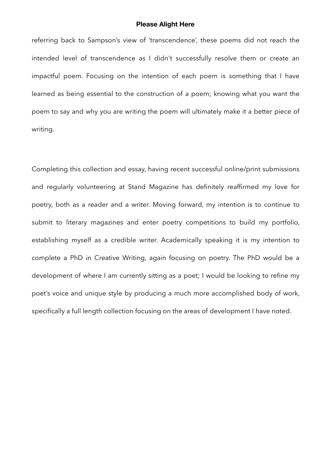referring back to Sampson's view of 'transcendence', these poems did not reach the intended level of transcendence as I didn't successfully resolve them or create an impactful poem. Focusing on the intention of each poem is something that I have learned as being essential to the construction of a poem; knowing what you want the poem to say and why you are writing the poem will ultimately make it a better piece of writing.

Completing this collection and essay, having recent successful online/print submissions and regularly volunteering at Stand Magazine has definitely reaffirmed my love for poetry, both as a reader and a writer. Moving forward, my intention is to continue to submit to literary magazines and enter poetry competitions to build my portfolio, establishing myself as a credible writer. Academically speaking it is my intention to complete a PhD in Creative Writing, again focusing on poetry. The PhD would be a development of where I am currently sitting as a poet; I would be looking to refine my poet's voice and unique style by producing a much more accomplished body of work, specifically a full length collection focusing on the areas of development I have noted.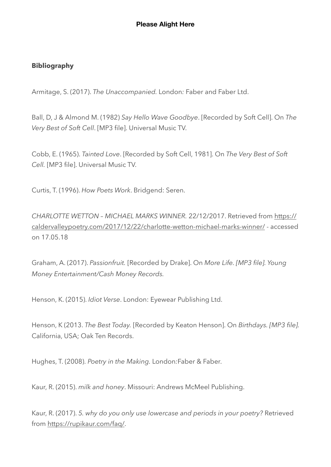# **Bibliography**

Armitage, S. (2017). *The Unaccompanied.* London*:* Faber and Faber Ltd.

Ball, D, J & Almond M. (1982) *Say Hello Wave Goodbye*. [Recorded by Soft Cell]. On *The Very Best of Soft Cell*. [MP3 file]. Universal Music TV.

Cobb, E. (1965). *Tainted Love*. [Recorded by Soft Cell, 1981]. On *The Very Best of Soft Cell.* [MP3 file]. Universal Music TV.

Curtis, T. (1996). *How Poets Work*. Bridgend: Seren.

*CHARLOTTE WETTON – MICHAEL MARKS WINNER.* 22/12/2017. Retrieved from [https://](https://caldervalleypoetry.com/2017/12/22/charlotte-wetton-michael-marks-winner/) [caldervalleypoetry.com/2017/12/22/charlotte-wetton-michael-marks-winner/](https://caldervalleypoetry.com/2017/12/22/charlotte-wetton-michael-marks-winner/) - accessed on 17.05.18

Graham, A. (2017). *Passionfruit.* [Recorded by Drake]. On *More Life. [MP3 file]. Young Money Entertainment/Cash Money Records.*

Henson, K. (2015). *Idiot Verse*. London: Eyewear Publishing Ltd.

Henson, K (2013. *The Best Today.* [Recorded by Keaton Henson]. On *Birthdays. [MP3 file].*  California, USA; Oak Ten Records.

Hughes, T. (2008). *Poetry in the Making.* London*:*Faber & Faber.

Kaur, R. (2015). *milk and honey*. Missouri: Andrews McMeel Publishing.

Kaur, R. (2017). *5. why do you only use lowercase and periods in your poetry?* Retrieved from <https://rupikaur.com/faq/>.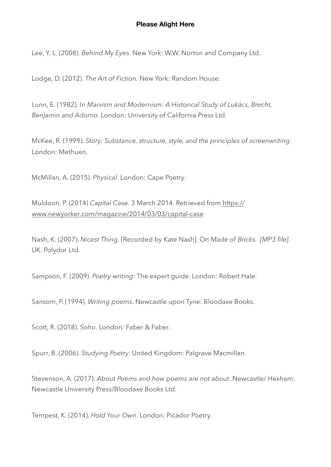Lee, Y, L. (2008). *Behind My Eyes*. New York: W.W. Norton and Company Ltd.

Lodge, D. (2012). *The Art of Fiction.* New York: Random House.

Lunn, E. (1982). In *Marxism and Modernism: A Historical Study of Lukács, Brecht, Benjamin and Adorno.* London*:* University of California Press Ltd*.* 

McKee, R. (1999). *Story: Substance, structure, style, and the principles of screenwriting*. London: Methuen.

McMillan, A. (2015). *Physical*. London: Cape Poetry.

Muldoon, P. (2014) *Capital Case.* 3 March 2014*.* Retrieved from [https://](https://www.newyorker.com/magazine/2014/03/03/capital-case) [www.newyorker.com/magazine/2014/03/03/capital-case](https://www.newyorker.com/magazine/2014/03/03/capital-case)

Nash, K. (2007). *Nicest Thing*. [Recorded by Kate Nash]. On *Made of Bricks. [MP3 file].* UK. Polydor Ltd.

Sampson, F. (2009). *Poetry writing*: The expert guide. London: Robert Hale.

Sansom, P. (1994). *Writing poems*. Newcastle upon Tyne: Bloodaxe Books.

Scott, R. (2018). *Soho*. London: Faber & Faber.

Spurr, B. (2006). *Studying Poetry*. United Kingdom: Palgrave Macmillan.

Stevenson, A. (2017). *About Poems and how poems are not about*. Newcastle/ Hexham: Newcastle University Press/Bloodaxe Books Ltd.

Tempest, K. (2014). *Hold Your Own*. London: Picador Poetry.